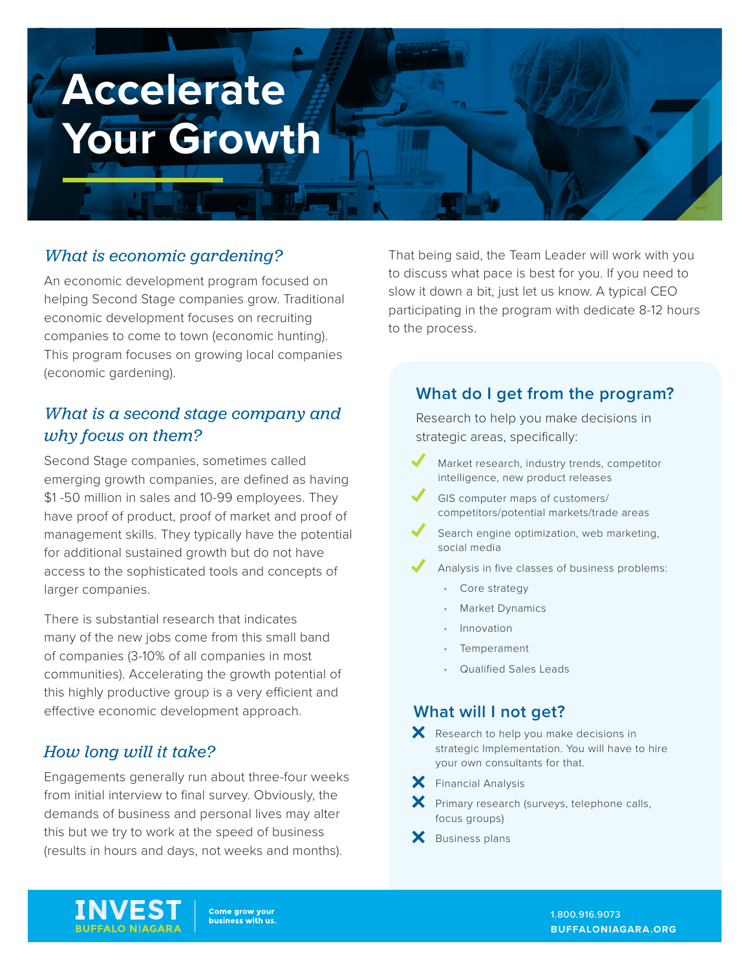# **Accelerate Your Growth**

## *What is economic gardening?*

An economic development program focused on helping Second Stage companies grow. Traditional economic development focuses on recruiting companies to come to town (economic hunting). This program focuses on growing local companies (economic gardening).

# *What is a second stage company and why focus on them?*

Second Stage companies, sometimes called emerging growth companies, are defined as having \$1 -50 million in sales and 10-99 employees. They have proof of product, proof of market and proof of management skills. They typically have the potential for additional sustained growth but do not have access to the sophisticated tools and concepts of larger companies.

There is substantial research that indicates many of the new jobs come from this small band of companies (3-10% of all companies in most communities). Accelerating the growth potential of this highly productive group is a very efficient and effective economic development approach.

# *How long will it take?*

Engagements generally run about three-four weeks from initial interview to final survey. Obviously, the demands of business and personal lives may alter this but we try to work at the speed of business (results in hours and days, not weeks and months).

That being said, the Team Leader will work with you to discuss what pace is best for you. If you need to slow it down a bit, just let us know. A typical CEO participating in the program with dedicate 8-12 hours to the process.

## **What do I get from the program?**

Research to help you make decisions in strategic areas, specifically:

- Market research, industry trends, competitor intelligence, new product releases
- GIS computer maps of customers/ competitors/potential markets/trade areas
- Search engine optimization, web marketing, social media
- Analysis in five classes of business problems:
	- Core strategy
	- Market Dynamics
	- Innovation
	- **Temperament**
	- Qualified Sales Leads

#### **What will I not get?**

 $\mathsf{\times}$  Research to help you make decisions in strategic Implementation. You will have to hire your own consultants for that.

- $\mathsf{\times}$  Financial Analysis
- $\mathsf{\times}$  Primary research (surveys, telephone calls, focus groups)
- $\mathsf{\times}$  Business plans